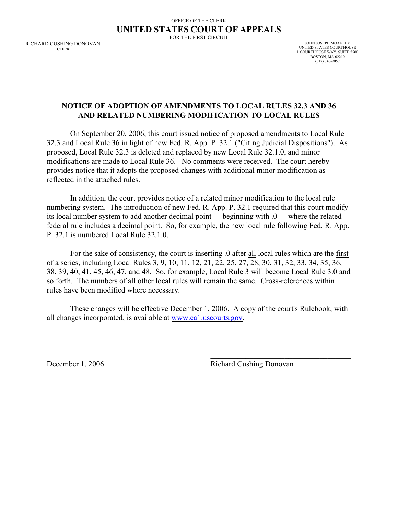## OFFICE OF THE CLERK **UNITED STATES COURT OF APPEALS**

FOR THE FIRST CIRCUIT

RICHARD CUSHING DONOVAN **CLERK** 

JOHN JOSEPH MOAKLEY UNITED STATES COURTHOUSE 1 COURTHOUSE WAY, SUITE 2500 BOSTON, MA 02210 (617) 748-9057

## **NOTICE OF ADOPTION OF AMENDMENTS TO LOCAL RULES 32.3 AND 36 AND RELATED NUMBERING MODIFICATION TO LOCAL RULES**

On September 20, 2006, this court issued notice of proposed amendments to Local Rule 32.3 and Local Rule 36 in light of new Fed. R. App. P. 32.1 ("Citing Judicial Dispositions"). As proposed, Local Rule 32.3 is deleted and replaced by new Local Rule 32.1.0, and minor modifications are made to Local Rule 36. No comments were received. The court hereby provides notice that it adopts the proposed changes with additional minor modification as reflected in the attached rules.

In addition, the court provides notice of a related minor modification to the local rule numbering system. The introduction of new Fed. R. App. P. 32.1 required that this court modify its local number system to add another decimal point - - beginning with .0 - - where the related federal rule includes a decimal point. So, for example, the new local rule following Fed. R. App. P. 32.1 is numbered Local Rule 32.1.0.

For the sake of consistency, the court is inserting .0 after all local rules which are the first of a series, including Local Rules 3, 9, 10, 11, 12, 21, 22, 25, 27, 28, 30, 31, 32, 33, 34, 35, 36, 38, 39, 40, 41, 45, 46, 47, and 48. So, for example, Local Rule 3 will become Local Rule 3.0 and so forth. The numbers of all other local rules will remain the same. Cross-references within rules have been modified where necessary.

These changes will be effective December 1, 2006. A copy of the court's Rulebook, with all changes incorporated, is available at [www.ca1.uscourts.gov](http://www.ca1.uscourts.gov).

December 1, 2006 Richard Cushing Donovan

\_\_\_\_\_\_\_\_\_\_\_\_\_\_\_\_\_\_\_\_\_\_\_\_\_\_\_\_\_\_\_\_\_\_\_\_